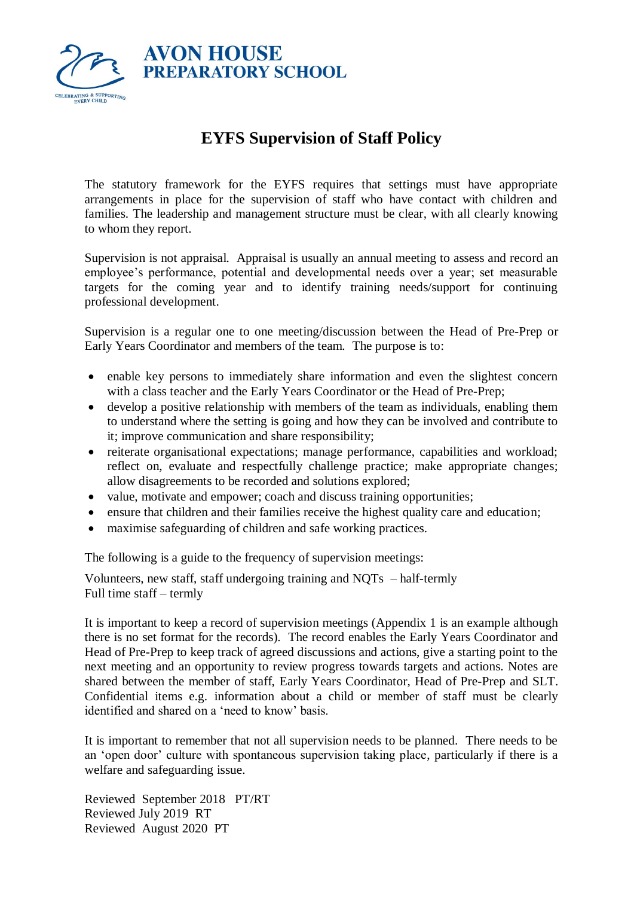

## **EYFS Supervision of Staff Policy**

The statutory framework for the EYFS requires that settings must have appropriate arrangements in place for the supervision of staff who have contact with children and families. The leadership and management structure must be clear, with all clearly knowing to whom they report.

Supervision is not appraisal. Appraisal is usually an annual meeting to assess and record an employee's performance, potential and developmental needs over a year; set measurable targets for the coming year and to identify training needs/support for continuing professional development.

Supervision is a regular one to one meeting/discussion between the Head of Pre-Prep or Early Years Coordinator and members of the team. The purpose is to:

- enable key persons to immediately share information and even the slightest concern with a class teacher and the Early Years Coordinator or the Head of Pre-Prep;
- develop a positive relationship with members of the team as individuals, enabling them to understand where the setting is going and how they can be involved and contribute to it; improve communication and share responsibility;
- reiterate organisational expectations; manage performance, capabilities and workload; reflect on, evaluate and respectfully challenge practice; make appropriate changes; allow disagreements to be recorded and solutions explored;
- value, motivate and empower; coach and discuss training opportunities;
- ensure that children and their families receive the highest quality care and education;
- maximise safeguarding of children and safe working practices.

The following is a guide to the frequency of supervision meetings:

Volunteers, new staff, staff undergoing training and NQTs – half-termly Full time staff – termly

It is important to keep a record of supervision meetings (Appendix 1 is an example although there is no set format for the records). The record enables the Early Years Coordinator and Head of Pre-Prep to keep track of agreed discussions and actions, give a starting point to the next meeting and an opportunity to review progress towards targets and actions. Notes are shared between the member of staff, Early Years Coordinator, Head of Pre-Prep and SLT. Confidential items e.g. information about a child or member of staff must be clearly identified and shared on a 'need to know' basis.

It is important to remember that not all supervision needs to be planned. There needs to be an 'open door' culture with spontaneous supervision taking place, particularly if there is a welfare and safeguarding issue.

Reviewed September 2018 PT/RT Reviewed July 2019 RT Reviewed August 2020 PT